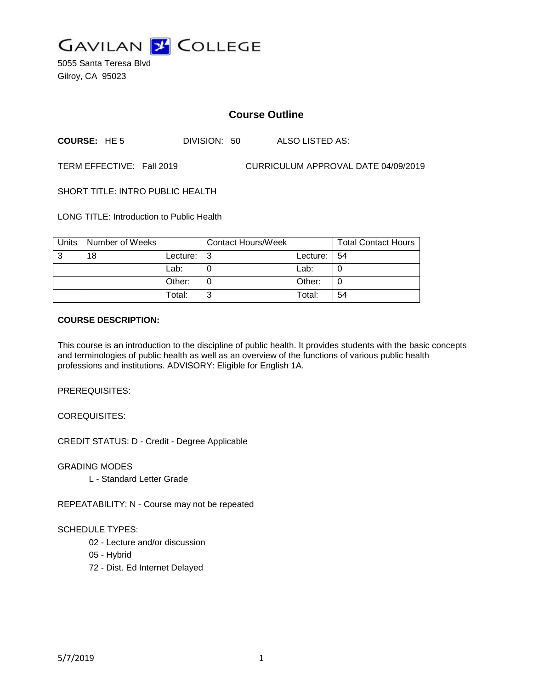

5055 Santa Teresa Blvd Gilroy, CA 95023

# **Course Outline**

**COURSE:** HE 5 DIVISION: 50 ALSO LISTED AS:

TERM EFFECTIVE: Fall 2019 CURRICULUM APPROVAL DATE 04/09/2019

SHORT TITLE: INTRO PUBLIC HEALTH

LONG TITLE: Introduction to Public Health

| Units | Number of Weeks |               | <b>Contact Hours/Week</b> |          | <b>Total Contact Hours</b> |
|-------|-----------------|---------------|---------------------------|----------|----------------------------|
| 3     | 18              | Lecture: $ 3$ |                           | Lecture: | -54                        |
|       |                 | Lab:          |                           | Lab:     |                            |
|       |                 | Other:        |                           | Other:   |                            |
|       |                 | Total:        | ⌒                         | Total:   | 54                         |

#### **COURSE DESCRIPTION:**

This course is an introduction to the discipline of public health. It provides students with the basic concepts and terminologies of public health as well as an overview of the functions of various public health professions and institutions. ADVISORY: Eligible for English 1A.

PREREQUISITES:

COREQUISITES:

CREDIT STATUS: D - Credit - Degree Applicable

GRADING MODES

L - Standard Letter Grade

REPEATABILITY: N - Course may not be repeated

#### SCHEDULE TYPES:

- 02 Lecture and/or discussion
- 05 Hybrid
- 72 Dist. Ed Internet Delayed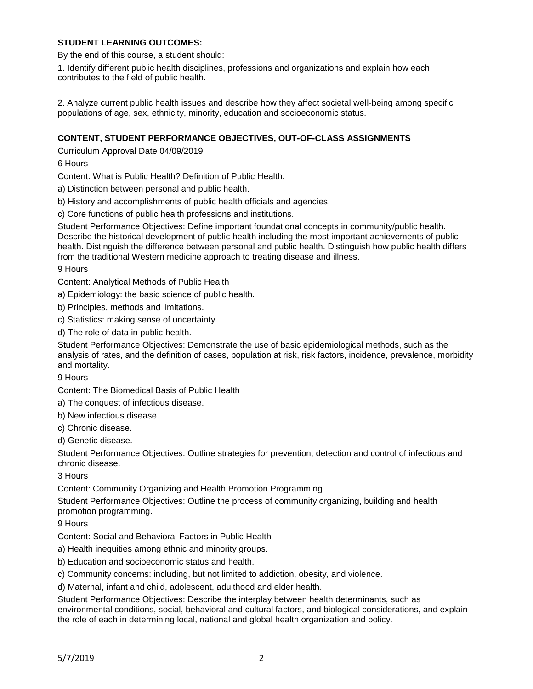## **STUDENT LEARNING OUTCOMES:**

By the end of this course, a student should:

1. Identify different public health disciplines, professions and organizations and explain how each contributes to the field of public health.

2. Analyze current public health issues and describe how they affect societal well-being among specific populations of age, sex, ethnicity, minority, education and socioeconomic status.

## **CONTENT, STUDENT PERFORMANCE OBJECTIVES, OUT-OF-CLASS ASSIGNMENTS**

Curriculum Approval Date 04/09/2019

6 Hours

Content: What is Public Health? Definition of Public Health.

a) Distinction between personal and public health.

b) History and accomplishments of public health officials and agencies.

c) Core functions of public health professions and institutions.

Student Performance Objectives: Define important foundational concepts in community/public health. Describe the historical development of public health including the most important achievements of public health. Distinguish the difference between personal and public health. Distinguish how public health differs from the traditional Western medicine approach to treating disease and illness.

9 Hours

Content: Analytical Methods of Public Health

a) Epidemiology: the basic science of public health.

b) Principles, methods and limitations.

c) Statistics: making sense of uncertainty.

d) The role of data in public health.

Student Performance Objectives: Demonstrate the use of basic epidemiological methods, such as the analysis of rates, and the definition of cases, population at risk, risk factors, incidence, prevalence, morbidity and mortality.

9 Hours

Content: The Biomedical Basis of Public Health

a) The conquest of infectious disease.

b) New infectious disease.

c) Chronic disease.

d) Genetic disease.

Student Performance Objectives: Outline strategies for prevention, detection and control of infectious and chronic disease.

3 Hours

Content: Community Organizing and Health Promotion Programming

Student Performance Objectives: Outline the process of community organizing, building and health promotion programming.

9 Hours

Content: Social and Behavioral Factors in Public Health

a) Health inequities among ethnic and minority groups.

b) Education and socioeconomic status and health.

c) Community concerns: including, but not limited to addiction, obesity, and violence.

d) Maternal, infant and child, adolescent, adulthood and elder health.

Student Performance Objectives: Describe the interplay between health determinants, such as environmental conditions, social, behavioral and cultural factors, and biological considerations, and explain the role of each in determining local, national and global health organization and policy.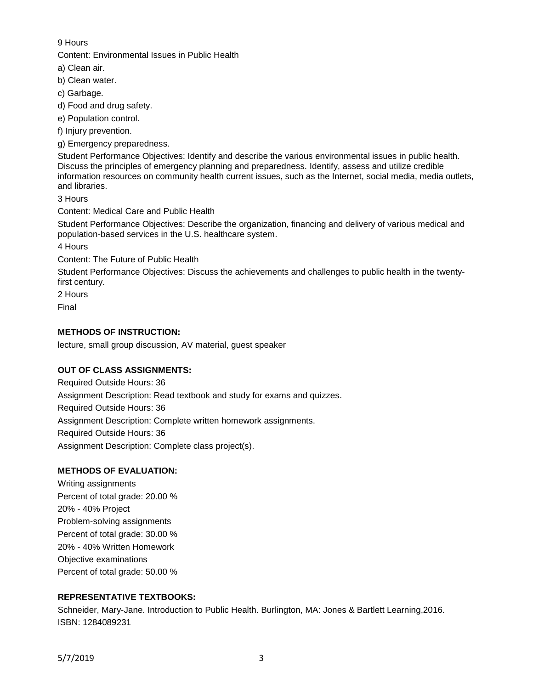## 9 Hours

Content: Environmental Issues in Public Health

a) Clean air.

b) Clean water.

c) Garbage.

d) Food and drug safety.

e) Population control.

f) Injury prevention.

g) Emergency preparedness.

Student Performance Objectives: Identify and describe the various environmental issues in public health. Discuss the principles of emergency planning and preparedness. Identify, assess and utilize credible information resources on community health current issues, such as the Internet, social media, media outlets, and libraries.

3 Hours

Content: Medical Care and Public Health

Student Performance Objectives: Describe the organization, financing and delivery of various medical and population-based services in the U.S. healthcare system.

4 Hours

Content: The Future of Public Health

Student Performance Objectives: Discuss the achievements and challenges to public health in the twentyfirst century.

2 Hours

Final

## **METHODS OF INSTRUCTION:**

lecture, small group discussion, AV material, guest speaker

# **OUT OF CLASS ASSIGNMENTS:**

Required Outside Hours: 36 Assignment Description: Read textbook and study for exams and quizzes. Required Outside Hours: 36 Assignment Description: Complete written homework assignments. Required Outside Hours: 36 Assignment Description: Complete class project(s).

# **METHODS OF EVALUATION:**

Writing assignments Percent of total grade: 20.00 % 20% - 40% Project Problem-solving assignments Percent of total grade: 30.00 % 20% - 40% Written Homework Objective examinations Percent of total grade: 50.00 %

# **REPRESENTATIVE TEXTBOOKS:**

Schneider, Mary-Jane. Introduction to Public Health. Burlington, MA: Jones & Bartlett Learning,2016. ISBN: 1284089231